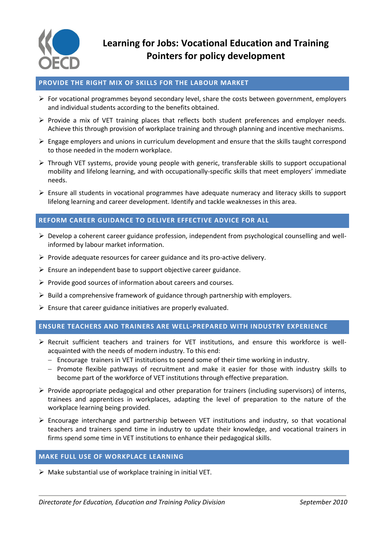

# **PROVIDE THE RIGHT MIX OF SKILLS FOR THE LABOUR MARKET**

- $\triangleright$  For vocational programmes beyond secondary level, share the costs between government, employers and individual students according to the benefits obtained.
- $\triangleright$  Provide a mix of VET training places that reflects both student preferences and employer needs. Achieve this through provision of workplace training and through planning and incentive mechanisms.
- $\triangleright$  Engage employers and unions in curriculum development and ensure that the skills taught correspond to those needed in the modern workplace.
- $\triangleright$  Through VET systems, provide young people with generic, transferable skills to support occupational mobility and lifelong learning, and with occupationally-specific skills that meet employers' immediate needs.
- $\triangleright$  Ensure all students in vocational programmes have adequate numeracy and literacy skills to support lifelong learning and career development. Identify and tackle weaknesses in this area.

#### **REFORM CAREER GUIDANCE TO DELIVER EFFECTIVE ADVICE FOR ALL**

- $\triangleright$  Develop a coherent career guidance profession, independent from psychological counselling and wellinformed by labour market information.
- $\triangleright$  Provide adequate resources for career guidance and its pro-active delivery.
- $\triangleright$  Ensure an independent base to support objective career guidance.
- $\triangleright$  Provide good sources of information about careers and courses.
- $\triangleright$  Build a comprehensive framework of guidance through partnership with employers.
- $\triangleright$  Ensure that career guidance initiatives are properly evaluated.

#### **ENSURE TEACHERS AND TRAINERS ARE WELL-PREPARED WITH INDUSTRY EXPERIENCE**

- Recruit sufficient teachers and trainers for VET institutions, and ensure this workforce is wellacquainted with the needs of modern industry. To this end:
	- $-$  Encourage trainers in VET institutions to spend some of their time working in industry.
	- Promote flexible pathways of recruitment and make it easier for those with industry skills to become part of the workforce of VET institutions through effective preparation.
- $\triangleright$  Provide appropriate pedagogical and other preparation for trainers (including supervisors) of interns, trainees and apprentices in workplaces, adapting the level of preparation to the nature of the workplace learning being provided.
- $\triangleright$  Encourage interchange and partnership between VET institutions and industry, so that vocational teachers and trainers spend time in industry to update their knowledge, and vocational trainers in firms spend some time in VET institutions to enhance their pedagogical skills.

# **MAKE FULL USE OF WORKPLACE LEARNING**

 $\triangleright$  Make substantial use of workplace training in initial VET.